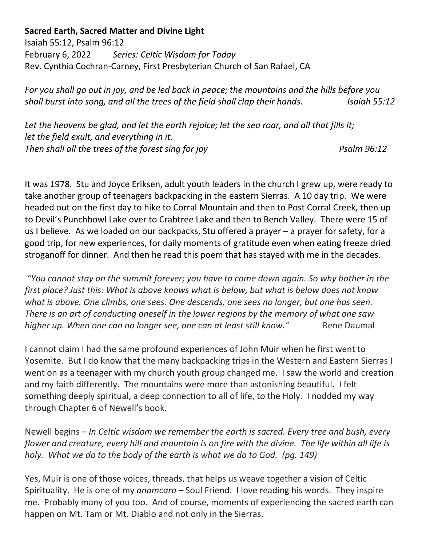## **Sacred Earth, Sacred Matter and Divine Light**

Isaiah 55:12, Psalm 96:12 February 6, 2022*Series: Celtic Wisdom for Today*  Rev. Cynthia Cochran-Carney, First Presbyterian Church of San Rafael, CA

*For you shall go out in joy, and be led back in peace; the mountains and the hills before you shall burst into song, and all the trees of the field shall clap their hands.* Isaiah 55:12

*Let the heavens be glad, and let the earth rejoice; let the sea roar, and all that fills it; let the field exult, and everything in it. Then shall all the trees of the forest sing for joy* Property Psalm 96:12

It was 1978. Stu and Joyce Eriksen, adult youth leaders in the church I grew up, were ready to take another group of teenagers backpacking in the eastern Sierras. A 10 day trip. We were headed out on the first day to hike to Corral Mountain and then to Post Corral Creek, then up to Devil's Punchbowl Lake over to Crabtree Lake and then to Bench Valley. There were 15 of us I believe. As we loaded on our backpacks, Stu offered a prayer – a prayer for safety, for a good trip, for new experiences, for daily moments of gratitude even when eating freeze dried stroganoff for dinner. And then he read this poem that has stayed with me in the decades.

*"You cannot stay on the summit forever; you have to come down again. So why bother in the first place? Just this: What is above knows what is below, but what is below does not know what is above. One climbs, one sees. One descends, one sees no longer, but one has seen. There is an art of conducting oneself in the lower regions by the memory of what one saw higher up. When one can no longer see, one can at least still know."* Rene Daumal

I cannot claim I had the same profound experiences of John Muir when he first went to Yosemite. But I do know that the many backpacking trips in the Western and Eastern Sierras I went on as a teenager with my church youth group changed me. I saw the world and creation and my faith differently. The mountains were more than astonishing beautiful. I felt something deeply spiritual, a deep connection to all of life, to the Holy. I nodded my way through Chapter 6 of Newell's book.

Newell begins *– In Celtic wisdom we remember the earth is sacred. Every tree and bush, every flower and creature, every hill and mountain is on fire with the divine. The life within all life is holy. What we do to the body of the earth is what we do to God. (pg. 149)*

Yes, Muir is one of those voices, threads, that helps us weave together a vision of Celtic Spirituality. He is one of my *anamcara* – Soul Friend. I love reading his words. They inspire me. Probably many of you too. And of course, moments of experiencing the sacred earth can happen on Mt. Tam or Mt. Diablo and not only in the Sierras.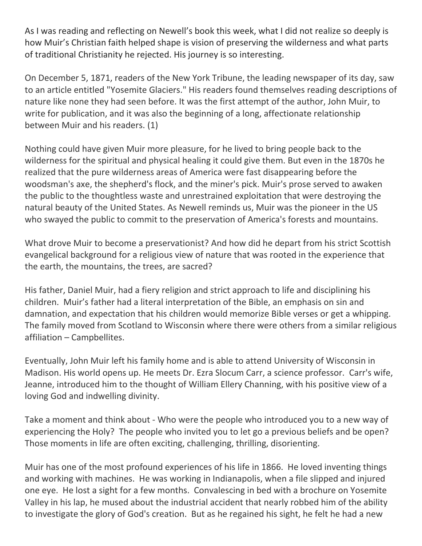As I was reading and reflecting on Newell's book this week, what I did not realize so deeply is how Muir's Christian faith helped shape is vision of preserving the wilderness and what parts of traditional Christianity he rejected. His journey is so interesting.

On December 5, 1871, readers of the New York Tribune, the leading newspaper of its day, saw to an article entitled "Yosemite Glaciers." His readers found themselves reading descriptions of nature like none they had seen before. It was the first attempt of the author, John Muir, to write for publication, and it was also the beginning of a long, affectionate relationship between Muir and his readers. (1)

Nothing could have given Muir more pleasure, for he lived to bring people back to the wilderness for the spiritual and physical healing it could give them. But even in the 1870s he realized that the pure wilderness areas of America were fast disappearing before the woodsman's axe, the shepherd's flock, and the miner's pick. Muir's prose served to awaken the public to the thoughtless waste and unrestrained exploitation that were destroying the natural beauty of the United States. As Newell reminds us, Muir was the pioneer in the US who swayed the public to commit to the preservation of America's forests and mountains.

What drove Muir to become a preservationist? And how did he depart from his strict Scottish evangelical background for a religious view of nature that was rooted in the experience that the earth, the mountains, the trees, are sacred?

His father, Daniel Muir, had a fiery religion and strict approach to life and disciplining his children. Muir's father had a literal interpretation of the Bible, an emphasis on sin and damnation, and expectation that his children would memorize Bible verses or get a whipping. The family moved from Scotland to Wisconsin where there were others from a similar religious affiliation – Campbellites.

Eventually, John Muir left his family home and is able to attend University of Wisconsin in Madison. His world opens up. He meets Dr. Ezra Slocum Carr, a science professor. Carr's wife, Jeanne, introduced him to the thought of William Ellery Channing, with his positive view of a loving God and indwelling divinity.

Take a moment and think about - Who were the people who introduced you to a new way of experiencing the Holy? The people who invited you to let go a previous beliefs and be open? Those moments in life are often exciting, challenging, thrilling, disorienting.

Muir has one of the most profound experiences of his life in 1866. He loved inventing things and working with machines. He was working in Indianapolis, when a file slipped and injured one eye. He lost a sight for a few months. Convalescing in bed with a brochure on Yosemite Valley in his lap, he mused about the industrial accident that nearly robbed him of the ability to investigate the glory of God's creation. But as he regained his sight, he felt he had a new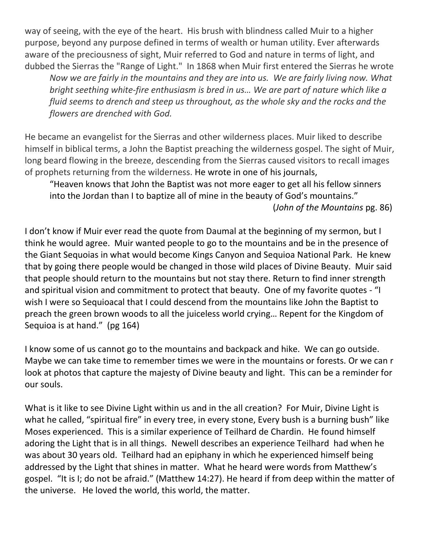way of seeing, with the eye of the heart. His brush with blindness called Muir to a higher purpose, beyond any purpose defined in terms of wealth or human utility. Ever afterwards aware of the preciousness of sight, Muir referred to God and nature in terms of light, and dubbed the Sierras the "Range of Light." In 1868 when Muir first entered the Sierras he wrote

*Now we are fairly in the mountains and they are into us. We are fairly living now. What bright seething white-fire enthusiasm is bred in us… We are part of nature which like a fluid seems to drench and steep us throughout, as the whole sky and the rocks and the flowers are drenched with God.*

He became an evangelist for the Sierras and other wilderness places. Muir liked to describe himself in biblical terms, a John the Baptist preaching the wilderness gospel. The sight of Muir, long beard flowing in the breeze, descending from the Sierras caused visitors to recall images of prophets returning from the wilderness. He wrote in one of his journals,

"Heaven knows that John the Baptist was not more eager to get all his fellow sinners into the Jordan than I to baptize all of mine in the beauty of God's mountains."

(*John of the Mountains* pg. 86)

I don't know if Muir ever read the quote from Daumal at the beginning of my sermon, but I think he would agree. Muir wanted people to go to the mountains and be in the presence of the Giant Sequoias in what would become Kings Canyon and Sequioa National Park. He knew that by going there people would be changed in those wild places of Divine Beauty. Muir said that people should return to the mountains but not stay there. Return to find inner strength and spiritual vision and commitment to protect that beauty. One of my favorite quotes - "I wish I were so Sequioacal that I could descend from the mountains like John the Baptist to preach the green brown woods to all the juiceless world crying… Repent for the Kingdom of Sequioa is at hand." (pg 164)

I know some of us cannot go to the mountains and backpack and hike. We can go outside. Maybe we can take time to remember times we were in the mountains or forests. Or we can r look at photos that capture the majesty of Divine beauty and light. This can be a reminder for our souls.

What is it like to see Divine Light within us and in the all creation? For Muir, Divine Light is what he called, "spiritual fire" in every tree, in every stone, Every bush is a burning bush" like Moses experienced. This is a similar experience of Teilhard de Chardin. He found himself adoring the Light that is in all things. Newell describes an experience Teilhard had when he was about 30 years old. Teilhard had an epiphany in which he experienced himself being addressed by the Light that shines in matter. What he heard were words from Matthew's gospel. "It is I; do not be afraid." (Matthew 14:27). He heard if from deep within the matter of the universe. He loved the world, this world, the matter.